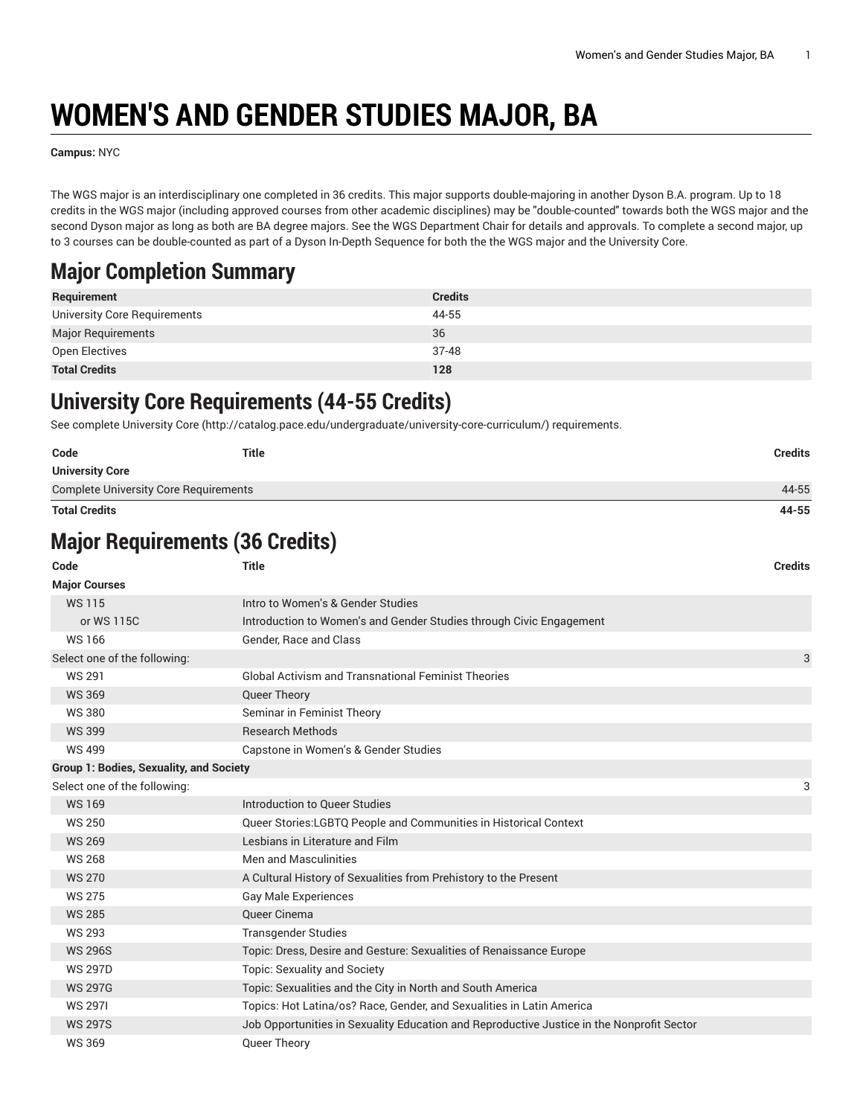# **WOMEN'S AND GENDER STUDIES MAJOR, BA**

**Campus:** NYC

The WGS major is an interdisciplinary one completed in 36 credits. This major supports double-majoring in another Dyson B.A. program. Up to 18 credits in the WGS major (including approved courses from other academic disciplines) may be "double-counted" towards both the WGS major and the second Dyson major as long as both are BA degree majors. See the WGS Department Chair for details and approvals. To complete a second major, up to 3 courses can be double-counted as part of a Dyson In-Depth Sequence for both the the WGS major and the University Core.

## **Major Completion Summary**

| Requirement                  | <b>Credits</b> |
|------------------------------|----------------|
| University Core Requirements | 44-55          |
| <b>Major Requirements</b>    | 36             |
| Open Electives               | $37 - 48$      |
| <b>Total Credits</b>         | 128            |

## **University Core Requirements (44-55 Credits)**

See complete [University](http://catalog.pace.edu/undergraduate/university-core-curriculum/) Core (<http://catalog.pace.edu/undergraduate/university-core-curriculum/>) requirements.

| Code                                         | Title | <b>Credits</b> |
|----------------------------------------------|-------|----------------|
| <b>University Core</b>                       |       |                |
| <b>Complete University Core Requirements</b> |       | 44-55          |
| <b>Total Credits</b>                         |       | 44-55          |

# **Major Requirements (36 Credits)**

| Code                                           | <b>Title</b>                                                                              | <b>Credits</b> |
|------------------------------------------------|-------------------------------------------------------------------------------------------|----------------|
| <b>Major Courses</b>                           |                                                                                           |                |
| <b>WS115</b>                                   | Intro to Women's & Gender Studies                                                         |                |
| or WS 115C                                     | Introduction to Women's and Gender Studies through Civic Engagement                       |                |
| <b>WS166</b>                                   | Gender, Race and Class                                                                    |                |
| Select one of the following:                   |                                                                                           | 3              |
| <b>WS 291</b>                                  | <b>Global Activism and Transnational Feminist Theories</b>                                |                |
| <b>WS 369</b>                                  | Queer Theory                                                                              |                |
| <b>WS380</b>                                   | Seminar in Feminist Theory                                                                |                |
| <b>WS 399</b>                                  | <b>Research Methods</b>                                                                   |                |
| <b>WS 499</b>                                  | Capstone in Women's & Gender Studies                                                      |                |
| <b>Group 1: Bodies, Sexuality, and Society</b> |                                                                                           |                |
| Select one of the following:                   |                                                                                           | 3              |
| <b>WS169</b>                                   | Introduction to Queer Studies                                                             |                |
| <b>WS 250</b>                                  | Queer Stories:LGBTQ People and Communities in Historical Context                          |                |
| <b>WS 269</b>                                  | Lesbians in Literature and Film                                                           |                |
| <b>WS 268</b>                                  | Men and Masculinities                                                                     |                |
| <b>WS 270</b>                                  | A Cultural History of Sexualities from Prehistory to the Present                          |                |
| <b>WS 275</b>                                  | <b>Gay Male Experiences</b>                                                               |                |
| <b>WS 285</b>                                  | Queer Cinema                                                                              |                |
| <b>WS 293</b>                                  | <b>Transgender Studies</b>                                                                |                |
| <b>WS 296S</b>                                 | Topic: Dress, Desire and Gesture: Sexualities of Renaissance Europe                       |                |
| <b>WS 297D</b>                                 | Topic: Sexuality and Society                                                              |                |
| <b>WS 297G</b>                                 | Topic: Sexualities and the City in North and South America                                |                |
| <b>WS 2971</b>                                 | Topics: Hot Latina/os? Race, Gender, and Sexualities in Latin America                     |                |
| <b>WS 297S</b>                                 | Job Opportunities in Sexuality Education and Reproductive Justice in the Nonprofit Sector |                |
| <b>WS 369</b>                                  | Queer Theory                                                                              |                |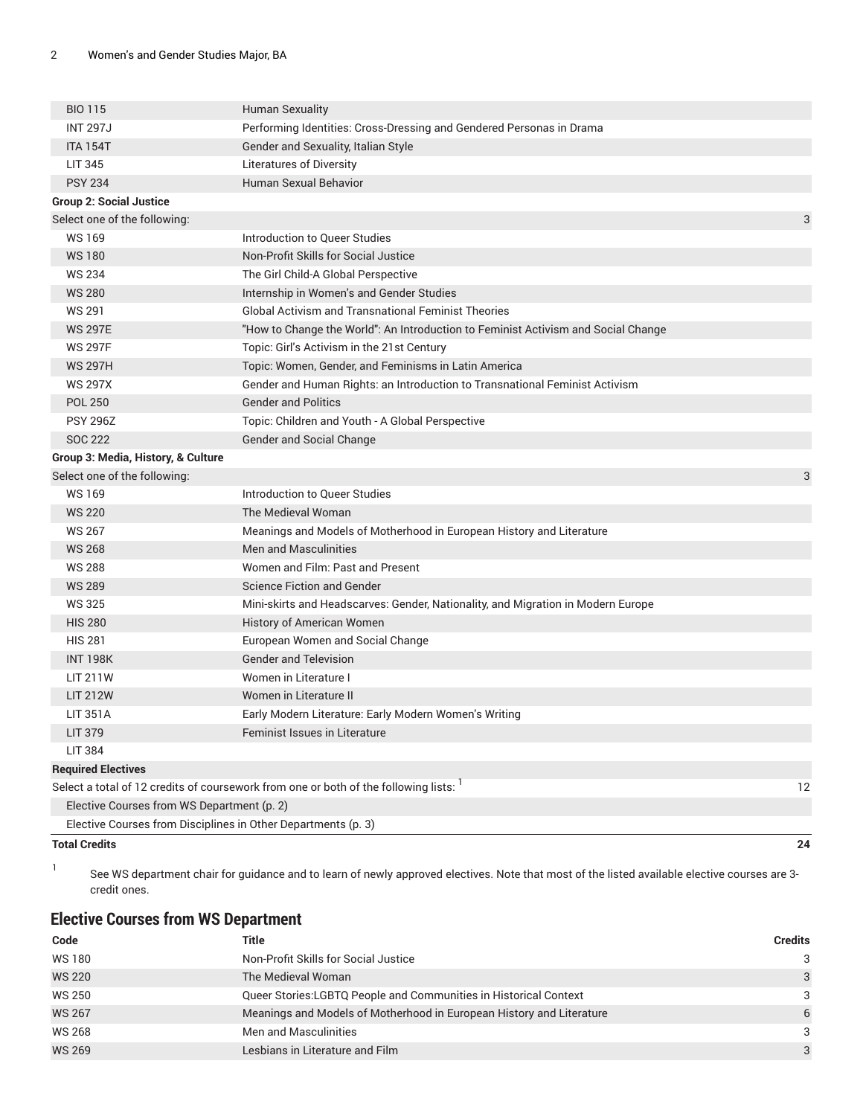| <b>BIO 115</b>                                                | <b>Human Sexuality</b>                                                                           |    |
|---------------------------------------------------------------|--------------------------------------------------------------------------------------------------|----|
| <b>INT 297J</b>                                               | Performing Identities: Cross-Dressing and Gendered Personas in Drama                             |    |
| <b>ITA 154T</b>                                               | Gender and Sexuality, Italian Style                                                              |    |
| <b>LIT 345</b>                                                | <b>Literatures of Diversity</b>                                                                  |    |
| <b>PSY 234</b>                                                | <b>Human Sexual Behavior</b>                                                                     |    |
| <b>Group 2: Social Justice</b>                                |                                                                                                  |    |
| Select one of the following:                                  |                                                                                                  | 3  |
| <b>WS169</b>                                                  | Introduction to Queer Studies                                                                    |    |
| <b>WS180</b>                                                  | Non-Profit Skills for Social Justice                                                             |    |
| <b>WS 234</b>                                                 | The Girl Child-A Global Perspective                                                              |    |
| <b>WS 280</b>                                                 | Internship in Women's and Gender Studies                                                         |    |
| WS 291                                                        | <b>Global Activism and Transnational Feminist Theories</b>                                       |    |
| <b>WS 297E</b>                                                | "How to Change the World": An Introduction to Feminist Activism and Social Change                |    |
| <b>WS 297F</b>                                                | Topic: Girl's Activism in the 21st Century                                                       |    |
| <b>WS 297H</b>                                                | Topic: Women, Gender, and Feminisms in Latin America                                             |    |
| <b>WS 297X</b>                                                | Gender and Human Rights: an Introduction to Transnational Feminist Activism                      |    |
| <b>POL 250</b>                                                | <b>Gender and Politics</b>                                                                       |    |
| <b>PSY 296Z</b>                                               | Topic: Children and Youth - A Global Perspective                                                 |    |
| <b>SOC 222</b>                                                | Gender and Social Change                                                                         |    |
| Group 3: Media, History, & Culture                            |                                                                                                  |    |
| Select one of the following:                                  |                                                                                                  | 3  |
| <b>WS169</b>                                                  | Introduction to Queer Studies                                                                    |    |
| <b>WS 220</b>                                                 | The Medieval Woman                                                                               |    |
| <b>WS 267</b>                                                 | Meanings and Models of Motherhood in European History and Literature                             |    |
| <b>WS 268</b>                                                 | <b>Men and Masculinities</b>                                                                     |    |
| <b>WS 288</b>                                                 | Women and Film: Past and Present                                                                 |    |
| <b>WS 289</b>                                                 | <b>Science Fiction and Gender</b>                                                                |    |
| <b>WS 325</b>                                                 | Mini-skirts and Headscarves: Gender, Nationality, and Migration in Modern Europe                 |    |
| <b>HIS 280</b>                                                | History of American Women                                                                        |    |
| <b>HIS 281</b>                                                | European Women and Social Change                                                                 |    |
| <b>INT 198K</b>                                               | <b>Gender and Television</b>                                                                     |    |
| <b>LIT 211W</b>                                               | Women in Literature I                                                                            |    |
| <b>LIT 212W</b>                                               | Women in Literature II                                                                           |    |
| <b>LIT 351A</b>                                               | Early Modern Literature: Early Modern Women's Writing                                            |    |
| LIT 379                                                       | Feminist Issues in Literature                                                                    |    |
| <b>LIT 384</b>                                                |                                                                                                  |    |
| <b>Required Electives</b>                                     |                                                                                                  |    |
|                                                               | Select a total of 12 credits of coursework from one or both of the following lists: <sup>1</sup> | 12 |
| Elective Courses from WS Department (p. 2)                    |                                                                                                  |    |
| Elective Courses from Disciplines in Other Departments (p. 3) |                                                                                                  |    |
| <b>Total Credits</b>                                          |                                                                                                  | 24 |

1 See WS department chair for guidance and to learn of newly approved electives. Note that most of the listed available elective courses are 3 credit ones.

#### <span id="page-1-0"></span>**Elective Courses from WS Department**

| Code          | Title                                                                | Credits       |
|---------------|----------------------------------------------------------------------|---------------|
| <b>WS180</b>  | Non-Profit Skills for Social Justice                                 | $\mathcal{B}$ |
| <b>WS 220</b> | The Medieval Woman                                                   | 3             |
| WS 250        | Queer Stories: LGBTQ People and Communities in Historical Context    | 3             |
| <b>WS 267</b> | Meanings and Models of Motherhood in European History and Literature | 6             |
| <b>WS 268</b> | Men and Masculinities                                                | $\mathcal{B}$ |
| <b>WS 269</b> | Lesbians in Literature and Film                                      | $\mathcal{A}$ |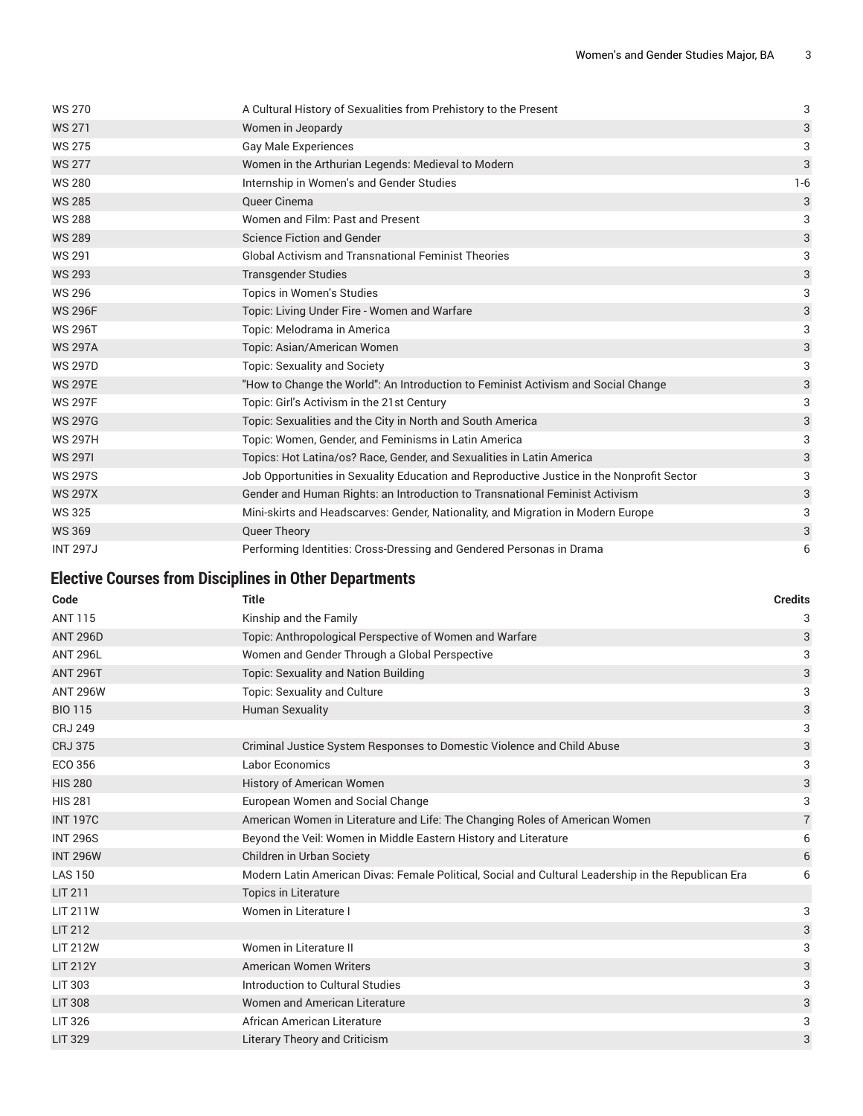| <b>WS 270</b>   | A Cultural History of Sexualities from Prehistory to the Present                          | 3       |
|-----------------|-------------------------------------------------------------------------------------------|---------|
| <b>WS 271</b>   | Women in Jeopardy                                                                         | 3       |
| <b>WS 275</b>   | <b>Gay Male Experiences</b>                                                               | 3       |
| <b>WS 277</b>   | Women in the Arthurian Legends: Medieval to Modern                                        | 3       |
| <b>WS 280</b>   | Internship in Women's and Gender Studies                                                  | $1 - 6$ |
| <b>WS 285</b>   | Queer Cinema                                                                              | 3       |
| <b>WS 288</b>   | Women and Film: Past and Present                                                          | 3       |
| <b>WS 289</b>   | <b>Science Fiction and Gender</b>                                                         | 3       |
| <b>WS 291</b>   | <b>Global Activism and Transnational Feminist Theories</b>                                | 3       |
| <b>WS 293</b>   | <b>Transgender Studies</b>                                                                | 3       |
| <b>WS 296</b>   | Topics in Women's Studies                                                                 | 3       |
| <b>WS 296F</b>  | Topic: Living Under Fire - Women and Warfare                                              | 3       |
| <b>WS 296T</b>  | Topic: Melodrama in America                                                               | 3       |
| <b>WS 297A</b>  | Topic: Asian/American Women                                                               | 3       |
| <b>WS 297D</b>  | <b>Topic: Sexuality and Society</b>                                                       | 3       |
| <b>WS 297E</b>  | "How to Change the World": An Introduction to Feminist Activism and Social Change         | 3       |
| <b>WS 297F</b>  | Topic: Girl's Activism in the 21st Century                                                | 3       |
| <b>WS 297G</b>  | Topic: Sexualities and the City in North and South America                                | 3       |
| <b>WS 297H</b>  | Topic: Women, Gender, and Feminisms in Latin America                                      | 3       |
| <b>WS 2971</b>  | Topics: Hot Latina/os? Race, Gender, and Sexualities in Latin America                     | 3       |
| <b>WS 297S</b>  | Job Opportunities in Sexuality Education and Reproductive Justice in the Nonprofit Sector | 3       |
| <b>WS 297X</b>  | Gender and Human Rights: an Introduction to Transnational Feminist Activism               | 3       |
| <b>WS 325</b>   | Mini-skirts and Headscarves: Gender, Nationality, and Migration in Modern Europe          | 3       |
| <b>WS 369</b>   | Queer Theory                                                                              | 3       |
| <b>INT 297J</b> | Performing Identities: Cross-Dressing and Gendered Personas in Drama                      | 6       |

#### <span id="page-2-0"></span>**Elective Courses from Disciplines in Other Departments**

| Code            | <b>Title</b>                                                                                        | <b>Credits</b> |
|-----------------|-----------------------------------------------------------------------------------------------------|----------------|
| <b>ANT 115</b>  | Kinship and the Family                                                                              | 3              |
| <b>ANT 296D</b> | Topic: Anthropological Perspective of Women and Warfare                                             | 3              |
| <b>ANT 296L</b> | Women and Gender Through a Global Perspective                                                       | 3              |
| <b>ANT 296T</b> | <b>Topic: Sexuality and Nation Building</b>                                                         | 3              |
| <b>ANT 296W</b> | Topic: Sexuality and Culture                                                                        | 3              |
| <b>BIO 115</b>  | <b>Human Sexuality</b>                                                                              | 3              |
| <b>CRJ 249</b>  |                                                                                                     | 3              |
| <b>CRJ 375</b>  | Criminal Justice System Responses to Domestic Violence and Child Abuse                              | 3              |
| ECO 356         | <b>Labor Economics</b>                                                                              | 3              |
| <b>HIS 280</b>  | <b>History of American Women</b>                                                                    | 3              |
| <b>HIS 281</b>  | European Women and Social Change                                                                    | 3              |
| <b>INT 197C</b> | American Women in Literature and Life: The Changing Roles of American Women                         | $\overline{7}$ |
| <b>INT 296S</b> | Beyond the Veil: Women in Middle Eastern History and Literature                                     | 6              |
| <b>INT 296W</b> | Children in Urban Society                                                                           | 6              |
| <b>LAS 150</b>  | Modern Latin American Divas: Female Political, Social and Cultural Leadership in the Republican Era | 6              |
| <b>LIT 211</b>  | <b>Topics in Literature</b>                                                                         |                |
| <b>LIT 211W</b> | Women in Literature I                                                                               | 3              |
| <b>LIT 212</b>  |                                                                                                     | 3              |
| <b>LIT 212W</b> | Women in Literature II                                                                              | 3              |
| <b>LIT 212Y</b> | <b>American Women Writers</b>                                                                       | 3              |
| <b>LIT 303</b>  | Introduction to Cultural Studies                                                                    | 3              |
| <b>LIT 308</b>  | Women and American Literature                                                                       | 3              |
| LIT 326         | African American Literature                                                                         | 3              |
| <b>LIT 329</b>  | <b>Literary Theory and Criticism</b>                                                                | 3              |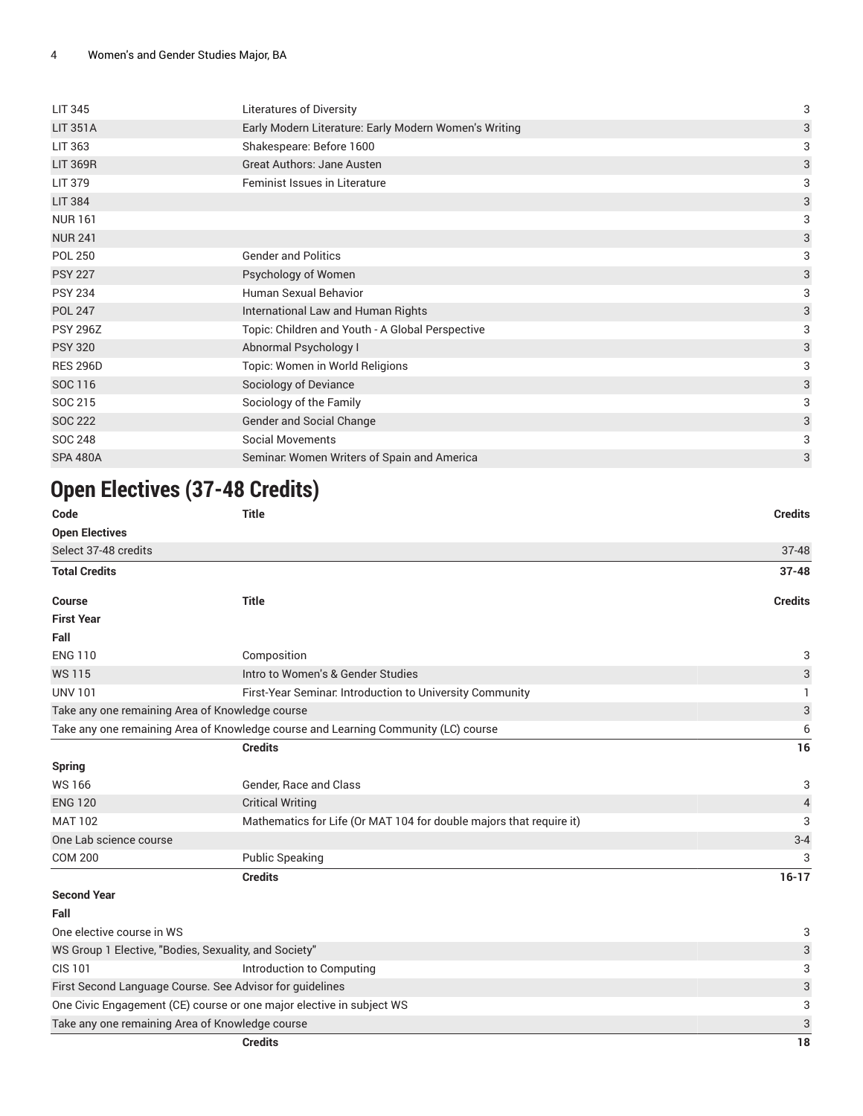| <b>LIT 345</b>  | Literatures of Diversity                              | 3                         |
|-----------------|-------------------------------------------------------|---------------------------|
| <b>LIT 351A</b> | Early Modern Literature: Early Modern Women's Writing | 3                         |
| LIT 363         | Shakespeare: Before 1600                              | 3                         |
| <b>LIT 369R</b> | Great Authors: Jane Austen                            | 3                         |
| <b>LIT 379</b>  | Feminist Issues in Literature                         | 3                         |
| <b>LIT 384</b>  |                                                       | $\ensuremath{\mathsf{3}}$ |
| <b>NUR161</b>   |                                                       | 3                         |
| <b>NUR 241</b>  |                                                       | 3                         |
| <b>POL 250</b>  | <b>Gender and Politics</b>                            | 3                         |
| <b>PSY 227</b>  | Psychology of Women                                   | 3                         |
| <b>PSY 234</b>  | Human Sexual Behavior                                 | 3                         |
| <b>POL 247</b>  | International Law and Human Rights                    | $\ensuremath{\mathsf{3}}$ |
| <b>PSY 296Z</b> | Topic: Children and Youth - A Global Perspective      | 3                         |
| <b>PSY 320</b>  | Abnormal Psychology I                                 | 3                         |
| <b>RES 296D</b> | Topic: Women in World Religions                       | 3                         |
| SOC 116         | Sociology of Deviance                                 | $\ensuremath{\mathsf{3}}$ |
| SOC 215         | Sociology of the Family                               | 3                         |
| <b>SOC 222</b>  | Gender and Social Change                              | 3                         |
| <b>SOC 248</b>  | <b>Social Movements</b>                               | 3                         |
| <b>SPA 480A</b> | Seminar. Women Writers of Spain and America           | 3                         |
|                 |                                                       |                           |

# **Open Electives (37-48 Credits)**

| Code                      | <b>Title</b>                                                                       | <b>Credits</b>            |
|---------------------------|------------------------------------------------------------------------------------|---------------------------|
| <b>Open Electives</b>     |                                                                                    |                           |
| Select 37-48 credits      |                                                                                    | $37 - 48$                 |
| <b>Total Credits</b>      |                                                                                    | $37 - 48$                 |
| <b>Course</b>             | <b>Title</b>                                                                       | <b>Credits</b>            |
| <b>First Year</b>         |                                                                                    |                           |
| Fall                      |                                                                                    |                           |
| <b>ENG 110</b>            | Composition                                                                        | 3                         |
| <b>WS115</b>              | Intro to Women's & Gender Studies                                                  | 3                         |
| <b>UNV 101</b>            | First-Year Seminar. Introduction to University Community                           | п.                        |
|                           | Take any one remaining Area of Knowledge course                                    | $\ensuremath{\mathsf{3}}$ |
|                           | Take any one remaining Area of Knowledge course and Learning Community (LC) course | 6                         |
|                           | <b>Credits</b>                                                                     | 16                        |
| <b>Spring</b>             |                                                                                    |                           |
| <b>WS166</b>              | Gender, Race and Class                                                             | 3                         |
| <b>ENG 120</b>            | <b>Critical Writing</b>                                                            | $\overline{4}$            |
| <b>MAT 102</b>            | Mathematics for Life (Or MAT 104 for double majors that require it)                | 3                         |
| One Lab science course    |                                                                                    | $3 - 4$                   |
| <b>COM 200</b>            | <b>Public Speaking</b>                                                             | 3                         |
|                           | <b>Credits</b>                                                                     | $16-17$                   |
| <b>Second Year</b>        |                                                                                    |                           |
| Fall                      |                                                                                    |                           |
| One elective course in WS |                                                                                    | 3                         |
|                           | WS Group 1 Elective, "Bodies, Sexuality, and Society"                              | $\mathbf{3}$              |
| <b>CIS 101</b>            | Introduction to Computing                                                          | 3                         |
|                           | First Second Language Course. See Advisor for guidelines                           | $\sqrt{3}$                |
|                           | One Civic Engagement (CE) course or one major elective in subject WS               | 3                         |
|                           | Take any one remaining Area of Knowledge course                                    | $\sqrt{3}$                |
|                           | <b>Credits</b>                                                                     | 18                        |